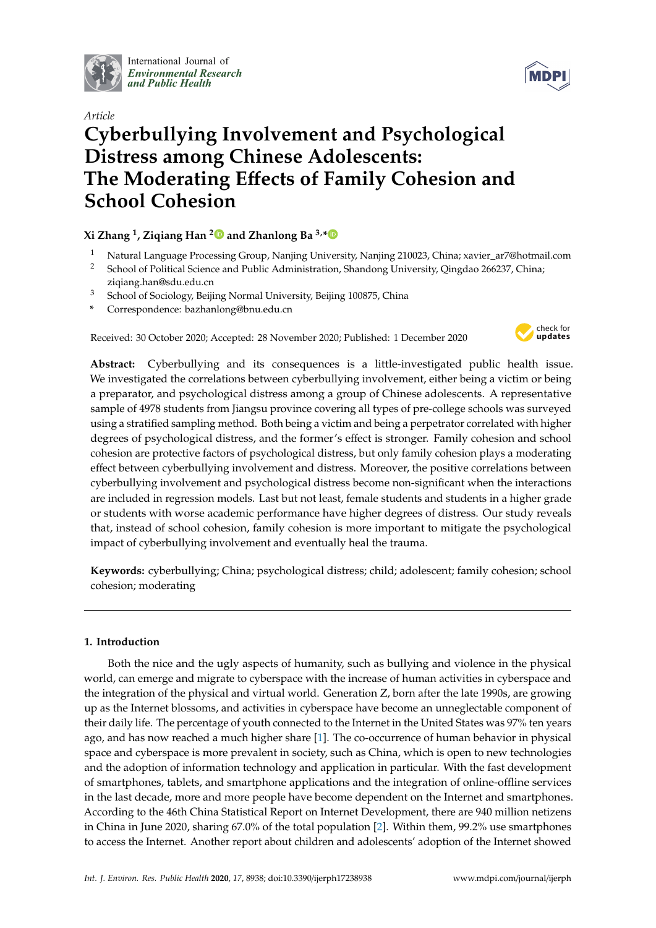

International Journal of *[Environmental Research](http://www.mdpi.com/journal/ijerph) and Public Health*



# *Article* **Cyberbullying Involvement and Psychological Distress among Chinese Adolescents: The Moderating E**ff**ects of Family Cohesion and School Cohesion**

# **Xi Zhang <sup>1</sup> , Ziqiang Han [2](https://orcid.org/0000-0003-0314-0570) and Zhanlong Ba 3,[\\*](https://orcid.org/0000-0003-1657-3818)**

- <sup>1</sup> Natural Language Processing Group, Nanjing University, Nanjing 210023, China; xavier\_ar7@hotmail.com<br><sup>2</sup> School of Political Science and Public Administration. Shandong University Oingdee 266227, China;
- <sup>2</sup> School of Political Science and Public Administration, Shandong University, Qingdao 266237, China; ziqiang.han@sdu.edu.cn
- <sup>3</sup> School of Sociology, Beijing Normal University, Beijing 100875, China
- **\*** Correspondence: bazhanlong@bnu.edu.cn

Received: 30 October 2020; Accepted: 28 November 2020; Published: 1 December 2020



**Abstract:** Cyberbullying and its consequences is a little-investigated public health issue. We investigated the correlations between cyberbullying involvement, either being a victim or being a preparator, and psychological distress among a group of Chinese adolescents. A representative sample of 4978 students from Jiangsu province covering all types of pre-college schools was surveyed using a stratified sampling method. Both being a victim and being a perpetrator correlated with higher degrees of psychological distress, and the former's effect is stronger. Family cohesion and school cohesion are protective factors of psychological distress, but only family cohesion plays a moderating effect between cyberbullying involvement and distress. Moreover, the positive correlations between cyberbullying involvement and psychological distress become non-significant when the interactions are included in regression models. Last but not least, female students and students in a higher grade or students with worse academic performance have higher degrees of distress. Our study reveals that, instead of school cohesion, family cohesion is more important to mitigate the psychological impact of cyberbullying involvement and eventually heal the trauma.

**Keywords:** cyberbullying; China; psychological distress; child; adolescent; family cohesion; school cohesion; moderating

# **1. Introduction**

Both the nice and the ugly aspects of humanity, such as bullying and violence in the physical world, can emerge and migrate to cyberspace with the increase of human activities in cyberspace and the integration of the physical and virtual world. Generation Z, born after the late 1990s, are growing up as the Internet blossoms, and activities in cyberspace have become an unneglectable component of their daily life. The percentage of youth connected to the Internet in the United States was 97% ten years ago, and has now reached a much higher share [\[1\]](#page-8-0). The co-occurrence of human behavior in physical space and cyberspace is more prevalent in society, such as China, which is open to new technologies and the adoption of information technology and application in particular. With the fast development of smartphones, tablets, and smartphone applications and the integration of online-offline services in the last decade, more and more people have become dependent on the Internet and smartphones. According to the 46th China Statistical Report on Internet Development, there are 940 million netizens in China in June 2020, sharing 67.0% of the total population [\[2\]](#page-8-1). Within them, 99.2% use smartphones to access the Internet. Another report about children and adolescents' adoption of the Internet showed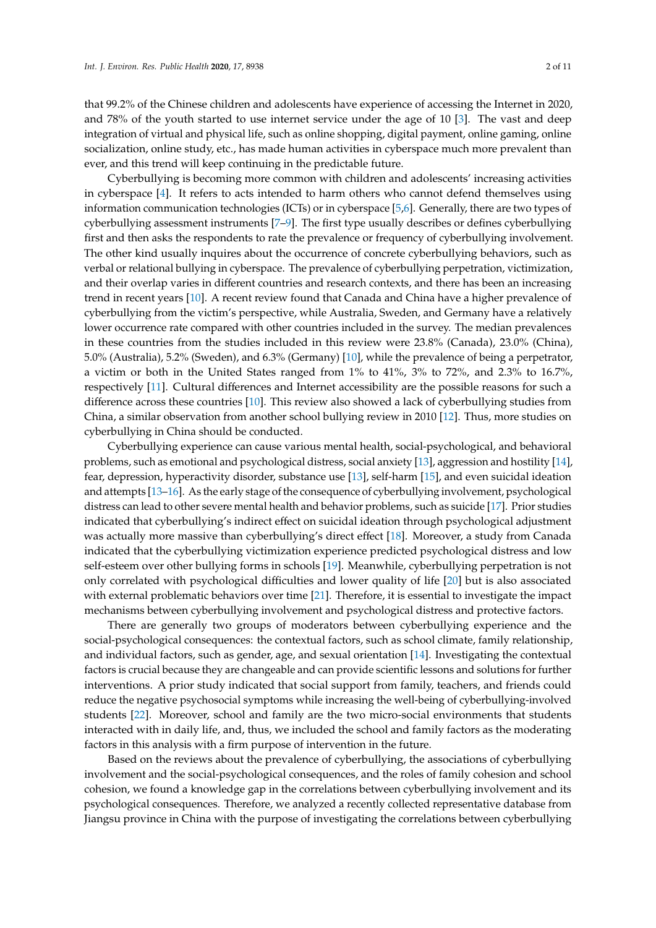that 99.2% of the Chinese children and adolescents have experience of accessing the Internet in 2020, and 78% of the youth started to use internet service under the age of 10 [\[3\]](#page-8-2). The vast and deep integration of virtual and physical life, such as online shopping, digital payment, online gaming, online socialization, online study, etc., has made human activities in cyberspace much more prevalent than ever, and this trend will keep continuing in the predictable future.

Cyberbullying is becoming more common with children and adolescents' increasing activities in cyberspace [\[4\]](#page-8-3). It refers to acts intended to harm others who cannot defend themselves using information communication technologies (ICTs) or in cyberspace [\[5,](#page-8-4)[6\]](#page-8-5). Generally, there are two types of cyberbullying assessment instruments [\[7](#page-8-6)[–9\]](#page-8-7). The first type usually describes or defines cyberbullying first and then asks the respondents to rate the prevalence or frequency of cyberbullying involvement. The other kind usually inquires about the occurrence of concrete cyberbullying behaviors, such as verbal or relational bullying in cyberspace. The prevalence of cyberbullying perpetration, victimization, and their overlap varies in different countries and research contexts, and there has been an increasing trend in recent years [\[10\]](#page-8-8). A recent review found that Canada and China have a higher prevalence of cyberbullying from the victim's perspective, while Australia, Sweden, and Germany have a relatively lower occurrence rate compared with other countries included in the survey. The median prevalences in these countries from the studies included in this review were 23.8% (Canada), 23.0% (China), 5.0% (Australia), 5.2% (Sweden), and 6.3% (Germany) [\[10\]](#page-8-8), while the prevalence of being a perpetrator, a victim or both in the United States ranged from 1% to 41%, 3% to 72%, and 2.3% to 16.7%, respectively [\[11\]](#page-8-9). Cultural differences and Internet accessibility are the possible reasons for such a difference across these countries [\[10\]](#page-8-8). This review also showed a lack of cyberbullying studies from China, a similar observation from another school bullying review in 2010 [\[12\]](#page-8-10). Thus, more studies on cyberbullying in China should be conducted.

Cyberbullying experience can cause various mental health, social-psychological, and behavioral problems, such as emotional and psychological distress, social anxiety [\[13\]](#page-8-11), aggression and hostility [\[14\]](#page-9-0), fear, depression, hyperactivity disorder, substance use [\[13\]](#page-8-11), self-harm [\[15\]](#page-9-1), and even suicidal ideation and attempts [\[13](#page-8-11)[–16\]](#page-9-2). As the early stage of the consequence of cyberbullying involvement, psychological distress can lead to other severe mental health and behavior problems, such as suicide [\[17\]](#page-9-3). Prior studies indicated that cyberbullying's indirect effect on suicidal ideation through psychological adjustment was actually more massive than cyberbullying's direct effect [\[18\]](#page-9-4). Moreover, a study from Canada indicated that the cyberbullying victimization experience predicted psychological distress and low self-esteem over other bullying forms in schools [\[19\]](#page-9-5). Meanwhile, cyberbullying perpetration is not only correlated with psychological difficulties and lower quality of life [\[20\]](#page-9-6) but is also associated with external problematic behaviors over time [\[21\]](#page-9-7). Therefore, it is essential to investigate the impact mechanisms between cyberbullying involvement and psychological distress and protective factors.

There are generally two groups of moderators between cyberbullying experience and the social-psychological consequences: the contextual factors, such as school climate, family relationship, and individual factors, such as gender, age, and sexual orientation [\[14\]](#page-9-0). Investigating the contextual factors is crucial because they are changeable and can provide scientific lessons and solutions for further interventions. A prior study indicated that social support from family, teachers, and friends could reduce the negative psychosocial symptoms while increasing the well-being of cyberbullying-involved students [\[22\]](#page-9-8). Moreover, school and family are the two micro-social environments that students interacted with in daily life, and, thus, we included the school and family factors as the moderating factors in this analysis with a firm purpose of intervention in the future.

Based on the reviews about the prevalence of cyberbullying, the associations of cyberbullying involvement and the social-psychological consequences, and the roles of family cohesion and school cohesion, we found a knowledge gap in the correlations between cyberbullying involvement and its psychological consequences. Therefore, we analyzed a recently collected representative database from Jiangsu province in China with the purpose of investigating the correlations between cyberbullying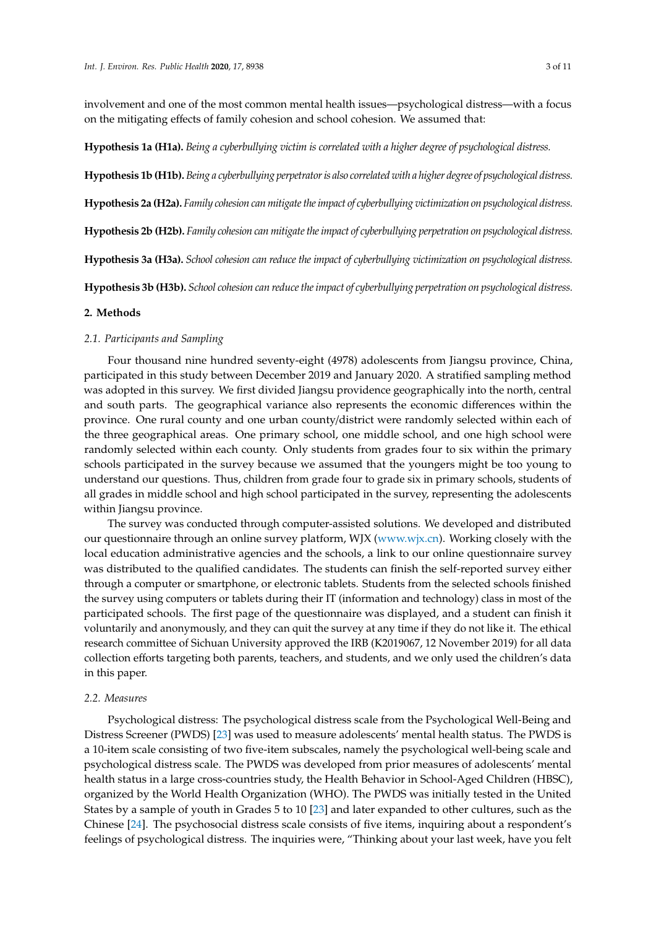involvement and one of the most common mental health issues—psychological distress—with a focus on the mitigating effects of family cohesion and school cohesion. We assumed that:

**Hypothesis 1a (H1a).** *Being a cyberbullying victim is correlated with a higher degree of psychological distress.*

**Hypothesis 1b (H1b).** *Being a cyberbullying perpetrator is also correlated with a higher degree of psychological distress.*

**Hypothesis 2a (H2a).** *Family cohesion can mitigate the impact of cyberbullying victimization on psychological distress.*

**Hypothesis 2b (H2b).** *Family cohesion can mitigate the impact of cyberbullying perpetration on psychological distress.*

**Hypothesis 3a (H3a).** *School cohesion can reduce the impact of cyberbullying victimization on psychological distress.*

**Hypothesis 3b (H3b).** *School cohesion can reduce the impact of cyberbullying perpetration on psychological distress.*

#### **2. Methods**

#### *2.1. Participants and Sampling*

Four thousand nine hundred seventy-eight (4978) adolescents from Jiangsu province, China, participated in this study between December 2019 and January 2020. A stratified sampling method was adopted in this survey. We first divided Jiangsu providence geographically into the north, central and south parts. The geographical variance also represents the economic differences within the province. One rural county and one urban county/district were randomly selected within each of the three geographical areas. One primary school, one middle school, and one high school were randomly selected within each county. Only students from grades four to six within the primary schools participated in the survey because we assumed that the youngers might be too young to understand our questions. Thus, children from grade four to grade six in primary schools, students of all grades in middle school and high school participated in the survey, representing the adolescents within Jiangsu province.

The survey was conducted through computer-assisted solutions. We developed and distributed our questionnaire through an online survey platform, WJX [\(www.wjx.cn\)](www.wjx.cn). Working closely with the local education administrative agencies and the schools, a link to our online questionnaire survey was distributed to the qualified candidates. The students can finish the self-reported survey either through a computer or smartphone, or electronic tablets. Students from the selected schools finished the survey using computers or tablets during their IT (information and technology) class in most of the participated schools. The first page of the questionnaire was displayed, and a student can finish it voluntarily and anonymously, and they can quit the survey at any time if they do not like it. The ethical research committee of Sichuan University approved the IRB (K2019067, 12 November 2019) for all data collection efforts targeting both parents, teachers, and students, and we only used the children's data in this paper.

#### *2.2. Measures*

Psychological distress: The psychological distress scale from the Psychological Well-Being and Distress Screener (PWDS) [\[23\]](#page-9-9) was used to measure adolescents' mental health status. The PWDS is a 10-item scale consisting of two five-item subscales, namely the psychological well-being scale and psychological distress scale. The PWDS was developed from prior measures of adolescents' mental health status in a large cross-countries study, the Health Behavior in School-Aged Children (HBSC), organized by the World Health Organization (WHO). The PWDS was initially tested in the United States by a sample of youth in Grades 5 to 10 [\[23\]](#page-9-9) and later expanded to other cultures, such as the Chinese [\[24\]](#page-9-10). The psychosocial distress scale consists of five items, inquiring about a respondent's feelings of psychological distress. The inquiries were, "Thinking about your last week, have you felt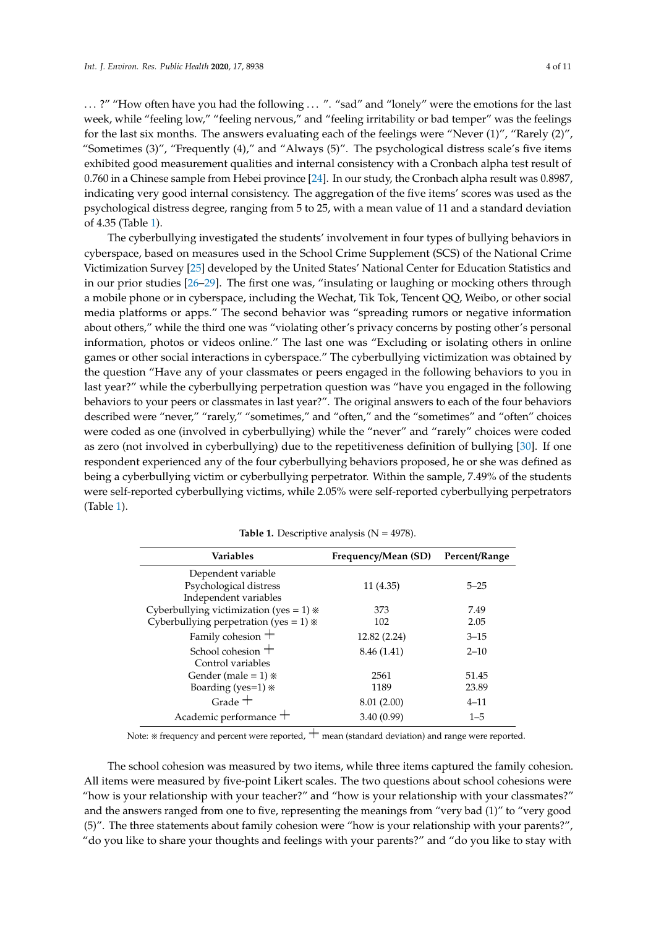...?" "How often have you had the following ... ". "sad" and "lonely" were the emotions for the last week, while "feeling low," "feeling nervous," and "feeling irritability or bad temper" was the feelings while "feeling"  $\sum_{n=1}^{\infty}$ for the last six months. The answers evaluating each of the feelings were "Never  $(1)$ ", "Rarely  $(2)$ ", "Sometimes  $(3)$ ", "Frequently  $(4)$ ," and "Always  $(5)$ ". The psychological distress scale's five items exhibited good measurement qualities and internal consistency with a Cronbach alpha test result of 0.760 in a Chinese sample from Hebei province [24]. In our study, the Cronbach alpha result was 0.8987, indicating very good internal consistency. The aggregation of the five items' scores was used as the psychological distress degree, ranging from 5 to 25, with a mean value of 11 and a standard deviation  $\alpha$  response and four cybers experience and four cybers proposed and  $\alpha$  and  $\alpha$  and  $\alpha$  and  $\alpha$  and  $\alpha$  and  $\alpha$  and  $\alpha$  and  $\alpha$  and  $\alpha$  and  $\alpha$  and  $\alpha$  and  $\alpha$  and  $\alpha$  and  $\alpha$  and  $\alpha$  and  $\alpha$  and  $\alpha$  an *Environ. Res. Public Health* 2020, 17, 8938<br>
<sup>27</sup> "How often have you had the following ... ". "sad" and "lonely" were the emotions for the last<br>
<sup>27</sup> "How often have you had the following ... ". "sad" and "lonely" were t  $\ldots$  from one that you had the following  $\ldots$  is sad and follery were the emotions for the fast cybers pace, based on measures used in the School Crime Supplement (SCS) of the National Crime Supplement (SCS First particular  $\mathbf{y}$  developed by the United States  $\mathbf{y}$  and  $\mathbf{y}$  and  $\mathbf{y}$  developed  $\mathbf{y}$  and  $\mathbf{y}$  and  $\mathbf{y}$  and  $\mathbf{y}$  and  $\mathbf{y}$  and  $\mathbf{y}$  and  $\mathbf{y}$  and  $\mathbf{y}$  and  $\mathbf{y}$  and  $\$  $(1a \nu \mathbf{e}^T)$ . While the cyberbully perpetration  $\mathbf{e}^T$  in the following in the following in the following in the following in the following in the following in the following in the following in the following in th  $\frac{1}{2}$  have veu had the following  $\frac{1}{2}$  investigated the students' in four types of the last chapter  $\alpha$  coling persons used the School Crime in the School Crime Supplement (School Crime School Crime School Crime School Crime School Crime School Crime School Crime School Crime School Crime School Crime School Cr x months. The answers evaluating each of the foolings were "Nover  $(1)$ " "Rarely  $(2)$ " (3)" "Frequently (4)" and "Always  $(5)$ ". The psychological distress scale's five items  $\alpha$  moseurement qualities and internal consistency with a Crophach alpha test result of  $\frac{1}{2}$  pose sample from Hebei province [24]. In our study the Cropbach alpha result was 0.8987  $\alpha$  about others, which consistency. The aggregation of the five items' scores was used as the information, photos or videos or  $\frac{1}{2}$  is  $\frac{1}{2}$  with a mean value of 11 and a standard deviation  $\mathbf{u}$  interactions in cybers pace. The cybers  $\mathbf{v}$  is defined by  $\mathbf{v}$  in  $\mathbf{v}$ 

of 4.35 (Table 1).<br>The cyberbullying investigated the students' involvement in four types of bullying behaviors in cyberspace, based on measures used in the School Crime Supplement (SCS) of the National Crime<br>Victimization Survey [25] developed by the United States' National Center for Education Statistics and Victimization Survey [25] developed by the United States' National Center for Education Statistics and in our prior studies [26–29]. The first one was, "insulating or laughing or mocking others through a mobile phone or in cyberspace, including the Wechat, Tik Tok, Tencent QQ, Weibo, or other social media platforms or apps." The second behavior was "spreading rumors or negative information<br>about others," while the third one was "violating other's privacy concerns by posting other's personal about others," while the third one was "violating other's privacy concerns by posting other's personal information, photos or videos online." The last one was "Excluding or isolating others in online information, photos or videos online." The last one was "Excluding or isolating others in online games or other social interactions in cyberspace." The cyberbullying victimization was obtained by the question "Have any of your classmates or peers engaged in the following behaviors to you in<br>last year?" while the cyberbullying perpetration question was "have you engaged in the following<br>behaviors to your peers or cl last year?" while the cyberbullying perpetration question was "have you engaged in the following behaviors to your peers or classmates in last year?". The original answers to each of the four behaviors described were "never," "rarely," "sometimes," and "often," and the "sometimes" and "often" choices were coded as one (involved in cyberbullying) while the "never" and "rarely" choices were coded as zero (not involved in cyberbullying) due to the repetitiveness definition of bullying [30]. If one respondent experienced any of the four cyberbullying behaviors proposed, he or she was defined as being a cyberbullying victim or cyberbullying perpetrator. Within the sample, 7.49% of the students<br>were self-reported cyberbullying victims, while 2.05% were self-reported cyberbullying perpetrators<br>(Table 1). were self-reported cyberbullying victims, while  $2.05\%$  were self-reported cyberbullying perpetrators  $(Table 1).$ described were "never," "rarely," "rarely," "rarely," "sometimes," "or "often," "or "often," "often," "often," "often," "often," "often," "often," "often," "often," "often," "often," "often," "often," "often," "often," "of  $\mu$  internal consistency of both measures. be cyberburing investigated the students involvement in lour types or buriying behaviors in  $c_{\rm b}$  $\frac{1}{2}$  or pullying investigated the students' involvement in four types of bullying behaviors in  $\alpha$  are  $\alpha$  on massures used in the School Crime Supplement  $(SCS)$  of the National Crime Survoy [25] developed by the United States' National Center for Education Statistics and  $\frac{d}{dx}$  and  $\frac{d}{dx}$ . The first one was "insulating or laughing or mocking others through  $c_n$  in  $\alpha$  bersenze including the Weshet.  $\overline{u}$  is Tarcent OO Weiberger were used code as zero (not involved as  $\mu$  involved in cyberbully interesting) due to the repetitive information of  $\mu$ . If  $\mu$  $\mu$  while the third one was "violating other's privacy concerns by posting other's personal  $\frac{1}{2}$  before a cyber and  $\frac{1}{2}$ . The last one was "Evoluting or isolating others in online,  $\alpha$  social interactions in experience." The experimitivity wictimization was obtained by  $^{\prime\prime}$ Have any of your alg  $\frac{1}{\sqrt{2}}$  the subgraph distribution appears the school contract three in the following  $\alpha$  is the point of the two  $r^{2\ell}$ . The original apovers to each of the four behaviors  $\alpha$ cohesions were interesting were teacher in and the "comptimer" and "often" choices  $\mathbf{r}$  $\alpha$  case (involved in arbeitallying) while the "never" and "rangly" choices were equal to  $\alpha$  $b_0$  to the repetitive state of the three statements about family  $a_0$ . If and require  $\alpha$  and  $\alpha$  the four appendix parameter proposed be or the use defined as  $\mu$  $\alpha$  where the school cohesion and  $\alpha$  cohesion and  $\alpha$  and  $\alpha$  is control cohesion screen school cohesion score rates  $\alpha$  $\begin{array}{cccc} 1 & 0 & 0 & 1 \end{array}$ 

<span id="page-3-0"></span>

| <b>Variables</b>                             | Frequency/Mean (SD) | Percent/Range |
|----------------------------------------------|---------------------|---------------|
| Dependent variable                           |                     |               |
| Psychological distress                       | 11 (4.35)           | $5 - 25$      |
| Independent variables                        |                     |               |
| Cyberbullying victimization (yes = $1$ ) $*$ | 373                 | 7.49          |
| Cyberbullying perpetration (yes = $1$ ) $*$  | 102                 | 2.05          |
| Family cohesion $+$                          | 12.82 (2.24)        | $3 - 15$      |
| School cohesion $+$                          | 8.46 (1.41)         | $2 - 10$      |
| Control variables                            |                     |               |
| Gender (male = $1$ ) $*$                     | 2561                | 51.45         |
| Boarding (yes=1) *                           | 1189                | 23.89         |
| Grade $+$                                    | 8.01(2.00)          | $4 - 11$      |
| Academic performance $+$                     | 3.40(0.99)          | $1 - 5$       |

Table 1. Descriptive analysis ( $N = 4978$ ).

 $\frac{1}{\pm}$   $\frac{1}{\pm}$   $\frac{1}{\pm}$   $\frac{1}{\pm}$   $\frac{1}{\pm}$   $\frac{1}{\pm}$   $\frac{1}{\pm}$   $\frac{1}{\pm}$   $\frac{1}{\pm}$   $\frac{1}{\pm}$   $\frac{1}{\pm}$   $\frac{1}{\pm}$   $\frac{1}{\pm}$   $\frac{1}{\pm}$   $\frac{1}{\pm}$   $\frac{1}{\pm}$   $\frac{1}{\pm}$   $\frac{1}{\pm}$   $\frac{1}{\pm}$   $\frac{1}{\pm}$  requency and percent were reported,  $+$  mean (standard deviation) and range were repo  $\begin{array}{|c|c|c|c|c|c|c|c|c|c|c|c|}\n\hline\n\text{S} & \text{S} & \text{S} & \text{S} & \text{S} & \text{S} & \text{S} & \text{S} & \text{S} & \text{S} & \text{S} & \text{S} & \text{S} & \text{S} & \text{S} & \text{S} & \text{S} & \text{S} & \text{S} & \text{S} & \text{S} & \text{S} & \text{S} & \text{S} & \text{S} & \text{S} & \text{S} & \text{S} & \text{S} & \text{S} & \text{S$ Note:  $\ast$  frequency and percent were reported,  $+$  mean (standard deviation) and range were reported.

ion was measured by two items, while three items captured the fa All items were measured by five-point Likert scales. The two questions about school cohesions were  $G_{\rm eff}$   $=$  1)  $\pm$  2561  $\pm$  2561  $\pm$  2561  $\pm$  2561  $\pm$  2561  $\pm$  3561  $\pm$  3561  $\pm$  3561  $\pm$  3561  $\pm$ The school cohesion was measured by two items, while three items captured the family cohesion. Led by inverpoint Eikert searcs. The two questions about sendor concisions were<br>hip with your teacher?" and "how is your relationship with your classmates?" "how is your relationship with your teacher?" and "how is your relationship with your classmates?" and the answers ranged from one to five, representing the meanings from "very bad  $(1)$ " to "very good (5)". The three statements about family cohesion were "how is your relationship with your parents?", "do you like to share your thoughts and feelings with your parents?" and "do you like to stay with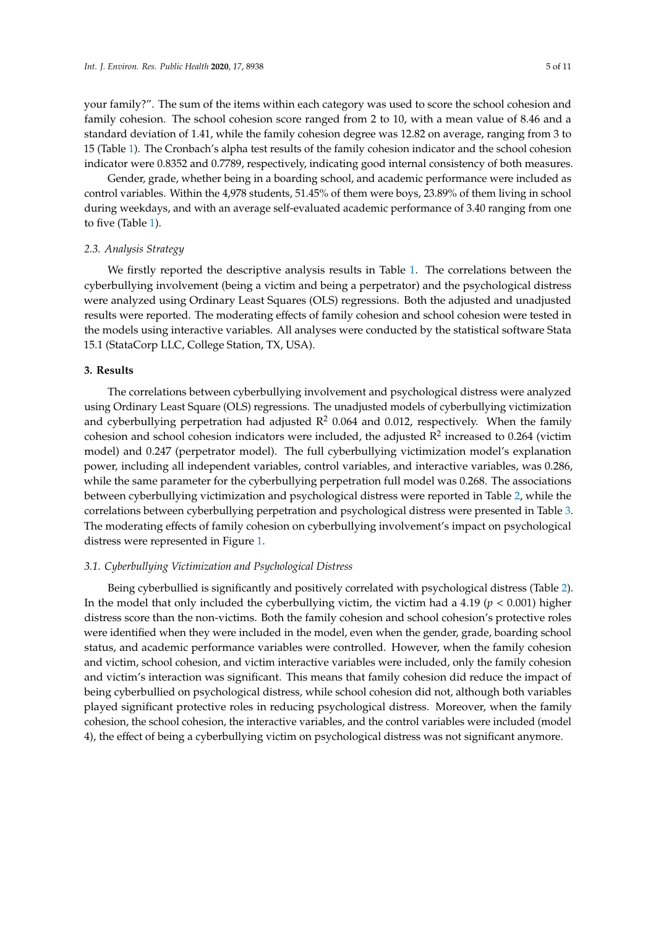your family?". The sum of the items within each category was used to score the school cohesion and family cohesion. The school cohesion score ranged from 2 to 10, with a mean value of 8.46 and a standard deviation of 1.41, while the family cohesion degree was 12.82 on average, ranging from 3 to 15 (Table [1\)](#page-3-0). The Cronbach's alpha test results of the family cohesion indicator and the school cohesion indicator were 0.8352 and 0.7789, respectively, indicating good internal consistency of both measures.

Gender, grade, whether being in a boarding school, and academic performance were included as control variables. Within the 4,978 students, 51.45% of them were boys, 23.89% of them living in school during weekdays, and with an average self-evaluated academic performance of 3.40 ranging from one to five (Table [1\)](#page-3-0).

### *2.3. Analysis Strategy*

We firstly reported the descriptive analysis results in Table [1.](#page-3-0) The correlations between the cyberbullying involvement (being a victim and being a perpetrator) and the psychological distress were analyzed using Ordinary Least Squares (OLS) regressions. Both the adjusted and unadjusted results were reported. The moderating effects of family cohesion and school cohesion were tested in the models using interactive variables. All analyses were conducted by the statistical software Stata 15.1 (StataCorp LLC, College Station, TX, USA).

## **3. Results**

The correlations between cyberbullying involvement and psychological distress were analyzed using Ordinary Least Square (OLS) regressions. The unadjusted models of cyberbullying victimization and cyberbullying perpetration had adjusted  $\mathbb{R}^2$  0.064 and 0.012, respectively. When the family cohesion and school cohesion indicators were included, the adjusted  $\mathbb{R}^2$  increased to 0.264 (victim model) and 0.247 (perpetrator model). The full cyberbullying victimization model's explanation power, including all independent variables, control variables, and interactive variables, was 0.286, while the same parameter for the cyberbullying perpetration full model was 0.268. The associations between cyberbullying victimization and psychological distress were reported in Table [2,](#page-5-0) while the correlations between cyberbullying perpetration and psychological distress were presented in Table [3.](#page-6-0) The moderating effects of family cohesion on cyberbullying involvement's impact on psychological distress were represented in Figure [1.](#page-6-1)

# *3.1. Cyberbullying Victimization and Psychological Distress*

Being cyberbullied is significantly and positively correlated with psychological distress (Table [2\)](#page-5-0). In the model that only included the cyberbullying victim, the victim had a 4.19 (*p* < 0.001) higher distress score than the non-victims. Both the family cohesion and school cohesion's protective roles were identified when they were included in the model, even when the gender, grade, boarding school status, and academic performance variables were controlled. However, when the family cohesion and victim, school cohesion, and victim interactive variables were included, only the family cohesion and victim's interaction was significant. This means that family cohesion did reduce the impact of being cyberbullied on psychological distress, while school cohesion did not, although both variables played significant protective roles in reducing psychological distress. Moreover, when the family cohesion, the school cohesion, the interactive variables, and the control variables were included (model 4), the effect of being a cyberbullying victim on psychological distress was not significant anymore.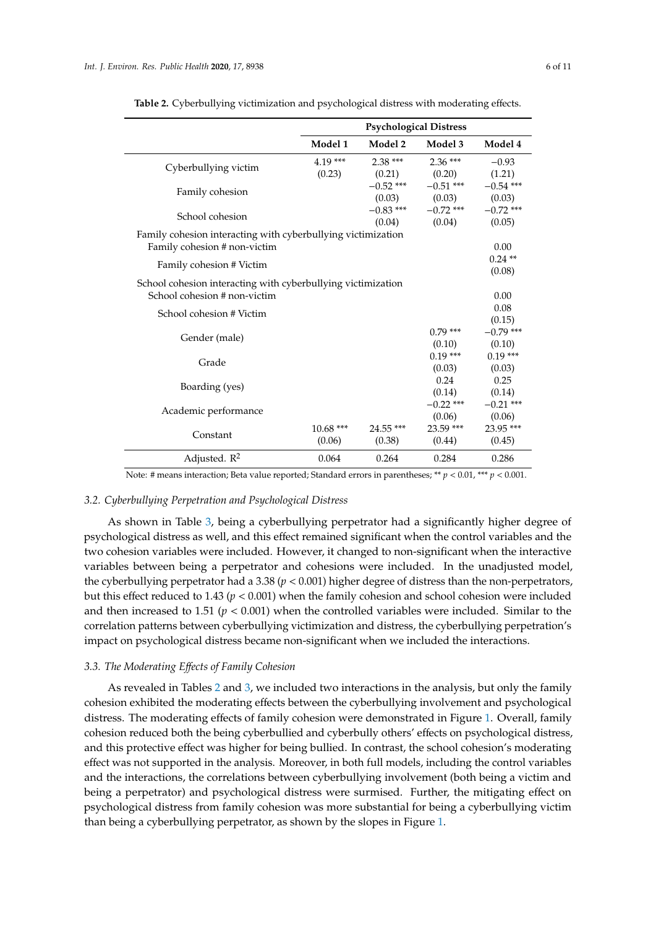<span id="page-5-0"></span>

|                                                                                              |                      | <b>Psychological Distress</b> |                                   |                       |  |  |  |
|----------------------------------------------------------------------------------------------|----------------------|-------------------------------|-----------------------------------|-----------------------|--|--|--|
|                                                                                              | Model 1              | Model 2                       | Model 3                           | Model 4               |  |  |  |
| Cyberbullying victim                                                                         | $4.19***$<br>(0.23)  | $2.38***$<br>(0.21)           | $2.36***$<br>(0.20)               | $-0.93$<br>(1.21)     |  |  |  |
| Family cohesion                                                                              |                      | $-0.52$ ***<br>(0.03)         | $-0.51$ ***<br>(0.03)             | $-0.54$ ***<br>(0.03) |  |  |  |
| School cohesion                                                                              |                      | (0.04)                        | $-0.83$ *** $-0.72$ ***<br>(0.04) | $-0.72$ ***<br>(0.05) |  |  |  |
| Family cohesion interacting with cyberbullying victimization<br>Family cohesion # non-victim |                      |                               |                                   | 0.00                  |  |  |  |
| Family cohesion # Victim                                                                     |                      |                               |                                   | $0.24$ **<br>(0.08)   |  |  |  |
| School cohesion interacting with cyberbullying victimization<br>School cohesion # non-victim |                      |                               |                                   | 0.00                  |  |  |  |
| School cohesion # Victim                                                                     |                      |                               |                                   | 0.08<br>(0.15)        |  |  |  |
| Gender (male)                                                                                |                      |                               | $0.79***$<br>(0.10)               | $-0.79$ ***<br>(0.10) |  |  |  |
| Grade                                                                                        |                      |                               | $0.19***$<br>(0.03)               | $0.19***$<br>(0.03)   |  |  |  |
| Boarding (yes)                                                                               |                      |                               | 0.24<br>(0.14)                    | 0.25<br>(0.14)        |  |  |  |
| Academic performance                                                                         |                      |                               | $-0.22$ ***<br>(0.06)             | $-0.21$ ***<br>(0.06) |  |  |  |
| Constant                                                                                     | $10.68***$<br>(0.06) | $24.55$ ***<br>(0.38)         | 23.59 ***<br>(0.44)               | 23.95 ***<br>(0.45)   |  |  |  |
| Adjusted. $R^2$                                                                              | 0.064                | 0.264                         | 0.284                             | 0.286                 |  |  |  |

**Table 2.** Cyberbullying victimization and psychological distress with moderating effects.

Note: # means interaction; Beta value reported; Standard errors in parentheses; \*\* *p* < 0.01, \*\*\* *p* < 0.001.

#### *3.2. Cyberbullying Perpetration and Psychological Distress*

As shown in Table [3,](#page-6-0) being a cyberbullying perpetrator had a significantly higher degree of psychological distress as well, and this effect remained significant when the control variables and the two cohesion variables were included. However, it changed to non-significant when the interactive variables between being a perpetrator and cohesions were included. In the unadjusted model, the cyberbullying perpetrator had a 3.38 (*p* < 0.001) higher degree of distress than the non-perpetrators, but this effect reduced to 1.43 (*p* < 0.001) when the family cohesion and school cohesion were included and then increased to 1.51 ( $p < 0.001$ ) when the controlled variables were included. Similar to the correlation patterns between cyberbullying victimization and distress, the cyberbullying perpetration's impact on psychological distress became non-significant when we included the interactions.

#### *3.3. The Moderating E*ff*ects of Family Cohesion*

As revealed in Tables [2](#page-5-0) and [3,](#page-6-0) we included two interactions in the analysis, but only the family cohesion exhibited the moderating effects between the cyberbullying involvement and psychological distress. The moderating effects of family cohesion were demonstrated in Figure [1.](#page-6-1) Overall, family cohesion reduced both the being cyberbullied and cyberbully others' effects on psychological distress, and this protective effect was higher for being bullied. In contrast, the school cohesion's moderating effect was not supported in the analysis. Moreover, in both full models, including the control variables and the interactions, the correlations between cyberbullying involvement (both being a victim and being a perpetrator) and psychological distress were surmised. Further, the mitigating effect on psychological distress from family cohesion was more substantial for being a cyberbullying victim than being a cyberbullying perpetrator, as shown by the slopes in Figure [1.](#page-6-1)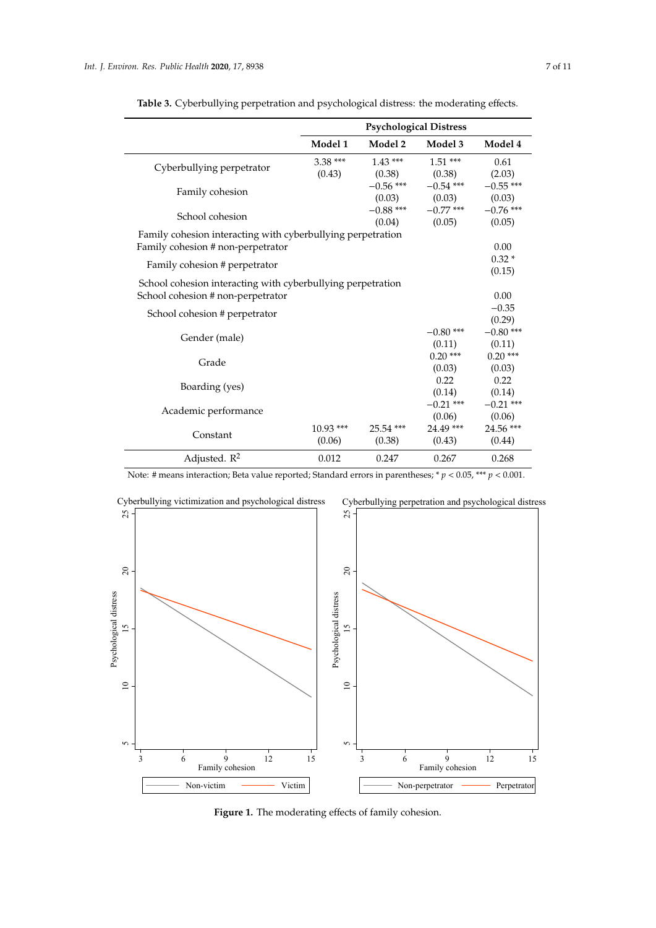<span id="page-6-0"></span>

| Cyberbullying perpetrator<br>Family cohesion<br>School cohesion<br>Family cohesion interacting with cyberbullying perpetration | Model 1<br>$3.38***$<br>(0.43) | Model 2<br>$1.43***$<br>(0.38)<br>(0.04) | Model 3<br>$1.51***$<br>(0.38)<br>$-0.56$ *** $-0.54$ ***<br>$(0.03)$ $(0.03)$<br>$-0.88$ *** $-0.77$ ***<br>(0.05) | Model 4<br>0.61<br>(2.03)<br>$-0.55$ ***<br>(0.03)<br>$-0.76$ *** |
|--------------------------------------------------------------------------------------------------------------------------------|--------------------------------|------------------------------------------|---------------------------------------------------------------------------------------------------------------------|-------------------------------------------------------------------|
|                                                                                                                                |                                |                                          |                                                                                                                     |                                                                   |
|                                                                                                                                |                                |                                          |                                                                                                                     |                                                                   |
|                                                                                                                                |                                |                                          |                                                                                                                     |                                                                   |
|                                                                                                                                |                                |                                          |                                                                                                                     |                                                                   |
|                                                                                                                                |                                |                                          |                                                                                                                     |                                                                   |
|                                                                                                                                |                                |                                          |                                                                                                                     |                                                                   |
|                                                                                                                                |                                |                                          |                                                                                                                     | (0.05)                                                            |
|                                                                                                                                |                                |                                          |                                                                                                                     |                                                                   |
| Family cohesion # non-perpetrator                                                                                              |                                |                                          |                                                                                                                     | 0.00                                                              |
| Family cohesion # perpetrator                                                                                                  |                                |                                          |                                                                                                                     | $0.32*$                                                           |
|                                                                                                                                |                                |                                          |                                                                                                                     | (0.15)                                                            |
| School cohesion interacting with cyberbullying perpetration                                                                    |                                |                                          |                                                                                                                     |                                                                   |
| School cohesion # non-perpetrator                                                                                              |                                |                                          |                                                                                                                     | 0.00                                                              |
| School cohesion # perpetrator                                                                                                  |                                |                                          |                                                                                                                     | $-0.35$                                                           |
| Gender (male)                                                                                                                  |                                |                                          |                                                                                                                     | (0.29)                                                            |
|                                                                                                                                |                                |                                          | $-0.80$ ***                                                                                                         | $-0.80$ ***                                                       |
|                                                                                                                                |                                |                                          | (0.11)                                                                                                              | (0.11)                                                            |
| Grade                                                                                                                          |                                |                                          | $0.20***$                                                                                                           | $0.20***$                                                         |
|                                                                                                                                |                                |                                          | (0.03)                                                                                                              | (0.03)                                                            |
| Boarding (yes)                                                                                                                 |                                |                                          | 0.22                                                                                                                | 0.22                                                              |
|                                                                                                                                |                                |                                          | (0.14)                                                                                                              | (0.14)                                                            |
| Academic performance<br>Constant                                                                                               |                                |                                          | $-0.21$ ***                                                                                                         | $-0.21$ ***                                                       |
|                                                                                                                                |                                |                                          | (0.06)                                                                                                              | (0.06)                                                            |
|                                                                                                                                | $10.93***$                     | 25.54 ***                                | $24.49***$                                                                                                          | 24.56 ***                                                         |
|                                                                                                                                | (0.06)                         | (0.38)                                   | (0.43)                                                                                                              | (0.44)                                                            |
| Adjusted. $R^2$                                                                                                                | 0.012                          | 0.247                                    | 0.267                                                                                                               | 0.268                                                             |

**Table 3.** Cyberbullying perpetration and psychological distress: the moderating effects.

Note: # means interaction; Beta value reported; Standard errors in parentheses; \*  $p < 0.05$ , \*\*\*  $p < 0.001$ .

<span id="page-6-1"></span>

**Figure 1.** The moderating effects of family cohesion.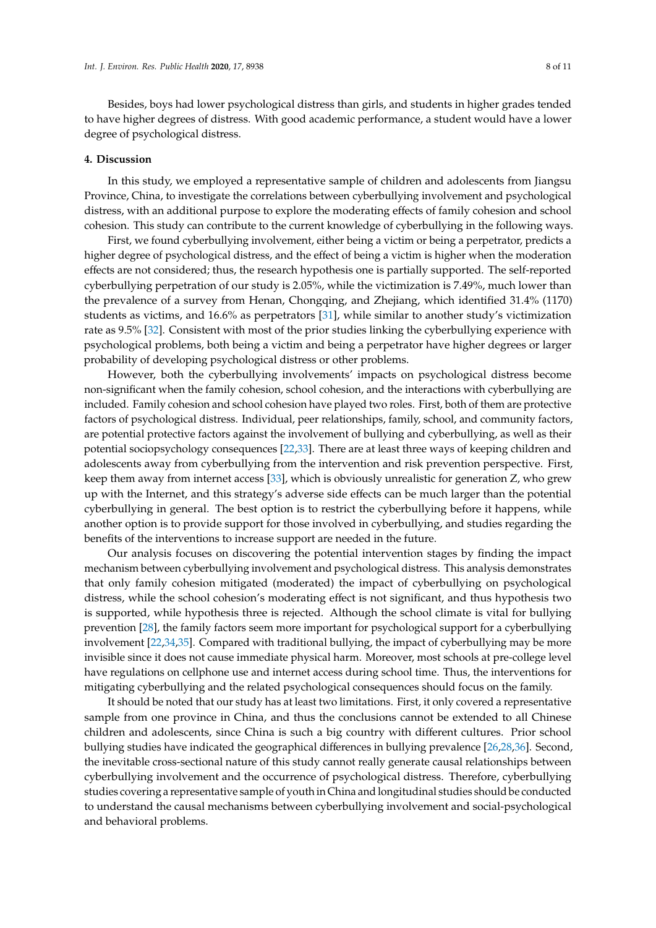Besides, boys had lower psychological distress than girls, and students in higher grades tended to have higher degrees of distress. With good academic performance, a student would have a lower degree of psychological distress.

#### **4. Discussion**

In this study, we employed a representative sample of children and adolescents from Jiangsu Province, China, to investigate the correlations between cyberbullying involvement and psychological distress, with an additional purpose to explore the moderating effects of family cohesion and school cohesion. This study can contribute to the current knowledge of cyberbullying in the following ways.

First, we found cyberbullying involvement, either being a victim or being a perpetrator, predicts a higher degree of psychological distress, and the effect of being a victim is higher when the moderation effects are not considered; thus, the research hypothesis one is partially supported. The self-reported cyberbullying perpetration of our study is 2.05%, while the victimization is 7.49%, much lower than the prevalence of a survey from Henan, Chongqing, and Zhejiang, which identified 31.4% (1170) students as victims, and 16.6% as perpetrators [\[31\]](#page-9-15), while similar to another study's victimization rate as 9.5% [\[32\]](#page-9-16). Consistent with most of the prior studies linking the cyberbullying experience with psychological problems, both being a victim and being a perpetrator have higher degrees or larger probability of developing psychological distress or other problems.

However, both the cyberbullying involvements' impacts on psychological distress become non-significant when the family cohesion, school cohesion, and the interactions with cyberbullying are included. Family cohesion and school cohesion have played two roles. First, both of them are protective factors of psychological distress. Individual, peer relationships, family, school, and community factors, are potential protective factors against the involvement of bullying and cyberbullying, as well as their potential sociopsychology consequences [\[22](#page-9-8)[,33\]](#page-9-17). There are at least three ways of keeping children and adolescents away from cyberbullying from the intervention and risk prevention perspective. First, keep them away from internet access [\[33\]](#page-9-17), which is obviously unrealistic for generation Z, who grew up with the Internet, and this strategy's adverse side effects can be much larger than the potential cyberbullying in general. The best option is to restrict the cyberbullying before it happens, while another option is to provide support for those involved in cyberbullying, and studies regarding the benefits of the interventions to increase support are needed in the future.

Our analysis focuses on discovering the potential intervention stages by finding the impact mechanism between cyberbullying involvement and psychological distress. This analysis demonstrates that only family cohesion mitigated (moderated) the impact of cyberbullying on psychological distress, while the school cohesion's moderating effect is not significant, and thus hypothesis two is supported, while hypothesis three is rejected. Although the school climate is vital for bullying prevention [\[28\]](#page-9-18), the family factors seem more important for psychological support for a cyberbullying involvement [\[22](#page-9-8)[,34,](#page-9-19)[35\]](#page-10-0). Compared with traditional bullying, the impact of cyberbullying may be more invisible since it does not cause immediate physical harm. Moreover, most schools at pre-college level have regulations on cellphone use and internet access during school time. Thus, the interventions for mitigating cyberbullying and the related psychological consequences should focus on the family.

It should be noted that our study has at least two limitations. First, it only covered a representative sample from one province in China, and thus the conclusions cannot be extended to all Chinese children and adolescents, since China is such a big country with different cultures. Prior school bullying studies have indicated the geographical differences in bullying prevalence [\[26,](#page-9-12)[28,](#page-9-18)[36\]](#page-10-1). Second, the inevitable cross-sectional nature of this study cannot really generate causal relationships between cyberbullying involvement and the occurrence of psychological distress. Therefore, cyberbullying studies covering a representative sample of youth in China and longitudinal studies should be conducted to understand the causal mechanisms between cyberbullying involvement and social-psychological and behavioral problems.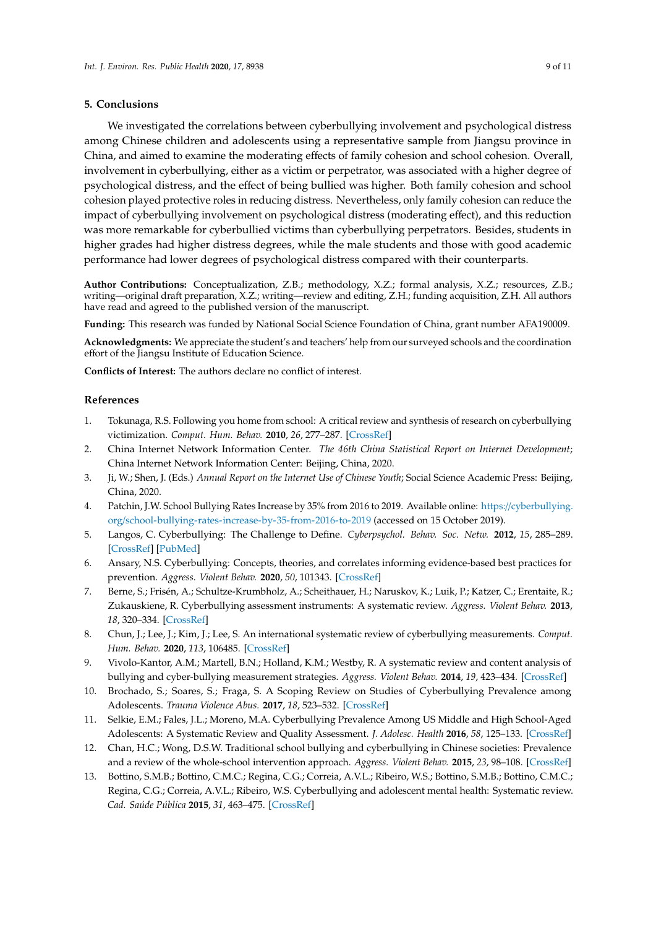### **5. Conclusions**

We investigated the correlations between cyberbullying involvement and psychological distress among Chinese children and adolescents using a representative sample from Jiangsu province in China, and aimed to examine the moderating effects of family cohesion and school cohesion. Overall, involvement in cyberbullying, either as a victim or perpetrator, was associated with a higher degree of psychological distress, and the effect of being bullied was higher. Both family cohesion and school cohesion played protective roles in reducing distress. Nevertheless, only family cohesion can reduce the impact of cyberbullying involvement on psychological distress (moderating effect), and this reduction was more remarkable for cyberbullied victims than cyberbullying perpetrators. Besides, students in higher grades had higher distress degrees, while the male students and those with good academic performance had lower degrees of psychological distress compared with their counterparts.

**Author Contributions:** Conceptualization, Z.B.; methodology, X.Z.; formal analysis, X.Z.; resources, Z.B.; writing—original draft preparation, X.Z.; writing—review and editing, Z.H.; funding acquisition, Z.H. All authors have read and agreed to the published version of the manuscript.

**Funding:** This research was funded by National Social Science Foundation of China, grant number AFA190009.

**Acknowledgments:** We appreciate the student's and teachers' help from our surveyed schools and the coordination effort of the Jiangsu Institute of Education Science.

**Conflicts of Interest:** The authors declare no conflict of interest.

#### **References**

- <span id="page-8-0"></span>1. Tokunaga, R.S. Following you home from school: A critical review and synthesis of research on cyberbullying victimization. *Comput. Hum. Behav.* **2010**, *26*, 277–287. [\[CrossRef\]](http://dx.doi.org/10.1016/j.chb.2009.11.014)
- <span id="page-8-1"></span>2. China Internet Network Information Center. *The 46th China Statistical Report on Internet Development*; China Internet Network Information Center: Beijing, China, 2020.
- <span id="page-8-2"></span>3. Ji, W.; Shen, J. (Eds.) *Annual Report on the Internet Use of Chinese Youth*; Social Science Academic Press: Beijing, China, 2020.
- <span id="page-8-3"></span>4. Patchin, J.W. School Bullying Rates Increase by 35% from 2016 to 2019. Available online: https://[cyberbullying.](https://cyberbullying.org/school-bullying-rates-increase-by-35-from-2016-to-2019) org/[school-bullying-rates-increase-by-35-from-2016-to-2019](https://cyberbullying.org/school-bullying-rates-increase-by-35-from-2016-to-2019) (accessed on 15 October 2019).
- <span id="page-8-4"></span>5. Langos, C. Cyberbullying: The Challenge to Define. *Cyberpsychol. Behav. Soc. Netw.* **2012**, *15*, 285–289. [\[CrossRef\]](http://dx.doi.org/10.1089/cyber.2011.0588) [\[PubMed\]](http://www.ncbi.nlm.nih.gov/pubmed/22703033)
- <span id="page-8-5"></span>6. Ansary, N.S. Cyberbullying: Concepts, theories, and correlates informing evidence-based best practices for prevention. *Aggress. Violent Behav.* **2020**, *50*, 101343. [\[CrossRef\]](http://dx.doi.org/10.1016/j.avb.2019.101343)
- <span id="page-8-6"></span>7. Berne, S.; Frisén, A.; Schultze-Krumbholz, A.; Scheithauer, H.; Naruskov, K.; Luik, P.; Katzer, C.; Erentaite, R.; Zukauskiene, R. Cyberbullying assessment instruments: A systematic review. *Aggress. Violent Behav.* **2013**, *18*, 320–334. [\[CrossRef\]](http://dx.doi.org/10.1016/j.avb.2012.11.022)
- 8. Chun, J.; Lee, J.; Kim, J.; Lee, S. An international systematic review of cyberbullying measurements. *Comput. Hum. Behav.* **2020**, *113*, 106485. [\[CrossRef\]](http://dx.doi.org/10.1016/j.chb.2020.106485)
- <span id="page-8-7"></span>9. Vivolo-Kantor, A.M.; Martell, B.N.; Holland, K.M.; Westby, R. A systematic review and content analysis of bullying and cyber-bullying measurement strategies. *Aggress. Violent Behav.* **2014**, *19*, 423–434. [\[CrossRef\]](http://dx.doi.org/10.1016/j.avb.2014.06.008)
- <span id="page-8-8"></span>10. Brochado, S.; Soares, S.; Fraga, S. A Scoping Review on Studies of Cyberbullying Prevalence among Adolescents. *Trauma Violence Abus.* **2017**, *18*, 523–532. [\[CrossRef\]](http://dx.doi.org/10.1177/1524838016641668)
- <span id="page-8-9"></span>11. Selkie, E.M.; Fales, J.L.; Moreno, M.A. Cyberbullying Prevalence Among US Middle and High School-Aged Adolescents: A Systematic Review and Quality Assessment. *J. Adolesc. Health* **2016**, *58*, 125–133. [\[CrossRef\]](http://dx.doi.org/10.1016/j.jadohealth.2015.09.026)
- <span id="page-8-10"></span>12. Chan, H.C.; Wong, D.S.W. Traditional school bullying and cyberbullying in Chinese societies: Prevalence and a review of the whole-school intervention approach. *Aggress. Violent Behav.* **2015**, *23*, 98–108. [\[CrossRef\]](http://dx.doi.org/10.1016/j.avb.2015.05.010)
- <span id="page-8-11"></span>13. Bottino, S.M.B.; Bottino, C.M.C.; Regina, C.G.; Correia, A.V.L.; Ribeiro, W.S.; Bottino, S.M.B.; Bottino, C.M.C.; Regina, C.G.; Correia, A.V.L.; Ribeiro, W.S. Cyberbullying and adolescent mental health: Systematic review. *Cad. Saúde Pública* **2015**, *31*, 463–475. [\[CrossRef\]](http://dx.doi.org/10.1590/0102-311x00036114)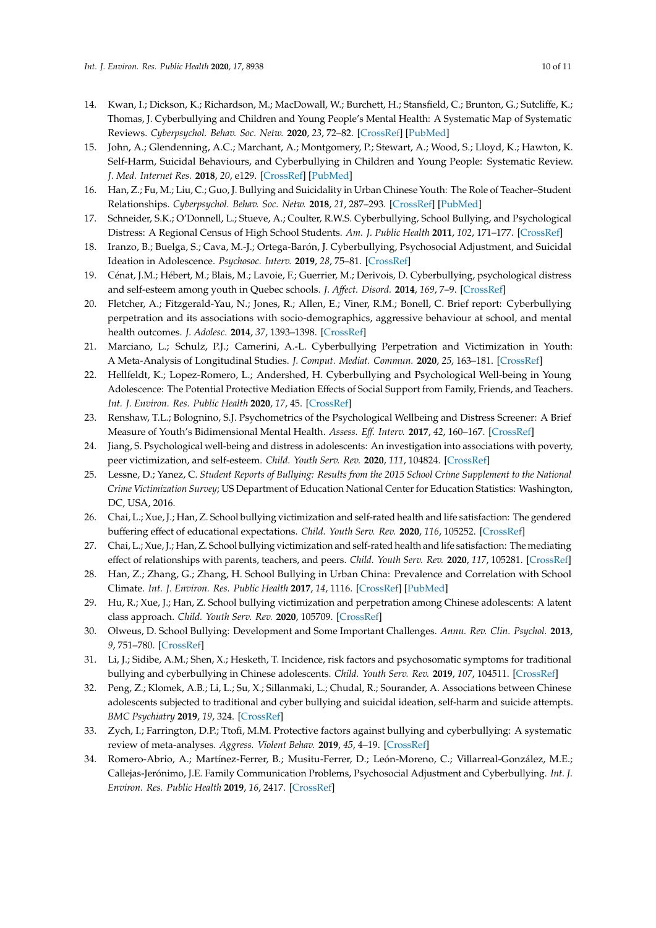- <span id="page-9-0"></span>14. Kwan, I.; Dickson, K.; Richardson, M.; MacDowall, W.; Burchett, H.; Stansfield, C.; Brunton, G.; Sutcliffe, K.; Thomas, J. Cyberbullying and Children and Young People's Mental Health: A Systematic Map of Systematic Reviews. *Cyberpsychol. Behav. Soc. Netw.* **2020**, *23*, 72–82. [\[CrossRef\]](http://dx.doi.org/10.1089/cyber.2019.0370) [\[PubMed\]](http://www.ncbi.nlm.nih.gov/pubmed/31977251)
- <span id="page-9-1"></span>15. John, A.; Glendenning, A.C.; Marchant, A.; Montgomery, P.; Stewart, A.; Wood, S.; Lloyd, K.; Hawton, K. Self-Harm, Suicidal Behaviours, and Cyberbullying in Children and Young People: Systematic Review. *J. Med. Internet Res.* **2018**, *20*, e129. [\[CrossRef\]](http://dx.doi.org/10.2196/jmir.9044) [\[PubMed\]](http://www.ncbi.nlm.nih.gov/pubmed/29674305)
- <span id="page-9-2"></span>16. Han, Z.; Fu, M.; Liu, C.; Guo, J. Bullying and Suicidality in Urban Chinese Youth: The Role of Teacher–Student Relationships. *Cyberpsychol. Behav. Soc. Netw.* **2018**, *21*, 287–293. [\[CrossRef\]](http://dx.doi.org/10.1089/cyber.2017.0484) [\[PubMed\]](http://www.ncbi.nlm.nih.gov/pubmed/29762059)
- <span id="page-9-3"></span>17. Schneider, S.K.; O'Donnell, L.; Stueve, A.; Coulter, R.W.S. Cyberbullying, School Bullying, and Psychological Distress: A Regional Census of High School Students. *Am. J. Public Health* **2011**, *102*, 171–177. [\[CrossRef\]](http://dx.doi.org/10.2105/AJPH.2011.300308)
- <span id="page-9-4"></span>18. Iranzo, B.; Buelga, S.; Cava, M.-J.; Ortega-Barón, J. Cyberbullying, Psychosocial Adjustment, and Suicidal Ideation in Adolescence. *Psychosoc. Interv.* **2019**, *28*, 75–81. [\[CrossRef\]](http://dx.doi.org/10.5093/pi2019a5)
- <span id="page-9-5"></span>19. Cénat, J.M.; Hébert, M.; Blais, M.; Lavoie, F.; Guerrier, M.; Derivois, D. Cyberbullying, psychological distress and self-esteem among youth in Quebec schools. *J. A*ff*ect. Disord.* **2014**, *169*, 7–9. [\[CrossRef\]](http://dx.doi.org/10.1016/j.jad.2014.07.019)
- <span id="page-9-6"></span>20. Fletcher, A.; Fitzgerald-Yau, N.; Jones, R.; Allen, E.; Viner, R.M.; Bonell, C. Brief report: Cyberbullying perpetration and its associations with socio-demographics, aggressive behaviour at school, and mental health outcomes. *J. Adolesc.* **2014**, *37*, 1393–1398. [\[CrossRef\]](http://dx.doi.org/10.1016/j.adolescence.2014.10.005)
- <span id="page-9-7"></span>21. Marciano, L.; Schulz, P.J.; Camerini, A.-L. Cyberbullying Perpetration and Victimization in Youth: A Meta-Analysis of Longitudinal Studies. *J. Comput. Mediat. Commun.* **2020**, *25*, 163–181. [\[CrossRef\]](http://dx.doi.org/10.1093/jcmc/zmz031)
- <span id="page-9-8"></span>22. Hellfeldt, K.; Lopez-Romero, L.; Andershed, H. Cyberbullying and Psychological Well-being in Young Adolescence: The Potential Protective Mediation Effects of Social Support from Family, Friends, and Teachers. *Int. J. Environ. Res. Public Health* **2020**, *17*, 45. [\[CrossRef\]](http://dx.doi.org/10.3390/ijerph17010045)
- <span id="page-9-9"></span>23. Renshaw, T.L.; Bolognino, S.J. Psychometrics of the Psychological Wellbeing and Distress Screener: A Brief Measure of Youth's Bidimensional Mental Health. *Assess. E*ff*. Interv.* **2017**, *42*, 160–167. [\[CrossRef\]](http://dx.doi.org/10.1177/1534508416678970)
- <span id="page-9-10"></span>24. Jiang, S. Psychological well-being and distress in adolescents: An investigation into associations with poverty, peer victimization, and self-esteem. *Child. Youth Serv. Rev.* **2020**, *111*, 104824. [\[CrossRef\]](http://dx.doi.org/10.1016/j.childyouth.2020.104824)
- <span id="page-9-11"></span>25. Lessne, D.; Yanez, C. *Student Reports of Bullying: Results from the 2015 School Crime Supplement to the National Crime Victimization Survey*; US Department of Education National Center for Education Statistics: Washington, DC, USA, 2016.
- <span id="page-9-12"></span>26. Chai, L.; Xue, J.; Han, Z. School bullying victimization and self-rated health and life satisfaction: The gendered buffering effect of educational expectations. *Child. Youth Serv. Rev.* **2020**, *116*, 105252. [\[CrossRef\]](http://dx.doi.org/10.1016/j.childyouth.2020.105252)
- 27. Chai, L.; Xue, J.; Han, Z. School bullying victimization and self-rated health and life satisfaction: The mediating effect of relationships with parents, teachers, and peers. *Child. Youth Serv. Rev.* **2020**, *117*, 105281. [\[CrossRef\]](http://dx.doi.org/10.1016/j.childyouth.2020.105281)
- <span id="page-9-18"></span>28. Han, Z.; Zhang, G.; Zhang, H. School Bullying in Urban China: Prevalence and Correlation with School Climate. *Int. J. Environ. Res. Public Health* **2017**, *14*, 1116. [\[CrossRef\]](http://dx.doi.org/10.3390/ijerph14101116) [\[PubMed\]](http://www.ncbi.nlm.nih.gov/pubmed/28946682)
- <span id="page-9-13"></span>29. Hu, R.; Xue, J.; Han, Z. School bullying victimization and perpetration among Chinese adolescents: A latent class approach. *Child. Youth Serv. Rev.* **2020**, 105709. [\[CrossRef\]](http://dx.doi.org/10.1016/j.childyouth.2020.105709)
- <span id="page-9-14"></span>30. Olweus, D. School Bullying: Development and Some Important Challenges. *Annu. Rev. Clin. Psychol.* **2013**, *9*, 751–780. [\[CrossRef\]](http://dx.doi.org/10.1146/annurev-clinpsy-050212-185516)
- <span id="page-9-15"></span>31. Li, J.; Sidibe, A.M.; Shen, X.; Hesketh, T. Incidence, risk factors and psychosomatic symptoms for traditional bullying and cyberbullying in Chinese adolescents. *Child. Youth Serv. Rev.* **2019**, *107*, 104511. [\[CrossRef\]](http://dx.doi.org/10.1016/j.childyouth.2019.104511)
- <span id="page-9-16"></span>32. Peng, Z.; Klomek, A.B.; Li, L.; Su, X.; Sillanmaki, L.; Chudal, R.; Sourander, A. Associations between Chinese adolescents subjected to traditional and cyber bullying and suicidal ideation, self-harm and suicide attempts. *BMC Psychiatry* **2019**, *19*, 324. [\[CrossRef\]](http://dx.doi.org/10.1186/s12888-019-2319-9)
- <span id="page-9-17"></span>33. Zych, I.; Farrington, D.P.; Ttofi, M.M. Protective factors against bullying and cyberbullying: A systematic review of meta-analyses. *Aggress. Violent Behav.* **2019**, *45*, 4–19. [\[CrossRef\]](http://dx.doi.org/10.1016/j.avb.2018.06.008)
- <span id="page-9-19"></span>34. Romero-Abrio, A.; Martínez-Ferrer, B.; Musitu-Ferrer, D.; León-Moreno, C.; Villarreal-González, M.E.; Callejas-Jerónimo, J.E. Family Communication Problems, Psychosocial Adjustment and Cyberbullying. *Int. J. Environ. Res. Public Health* **2019**, *16*, 2417. [\[CrossRef\]](http://dx.doi.org/10.3390/ijerph16132417)